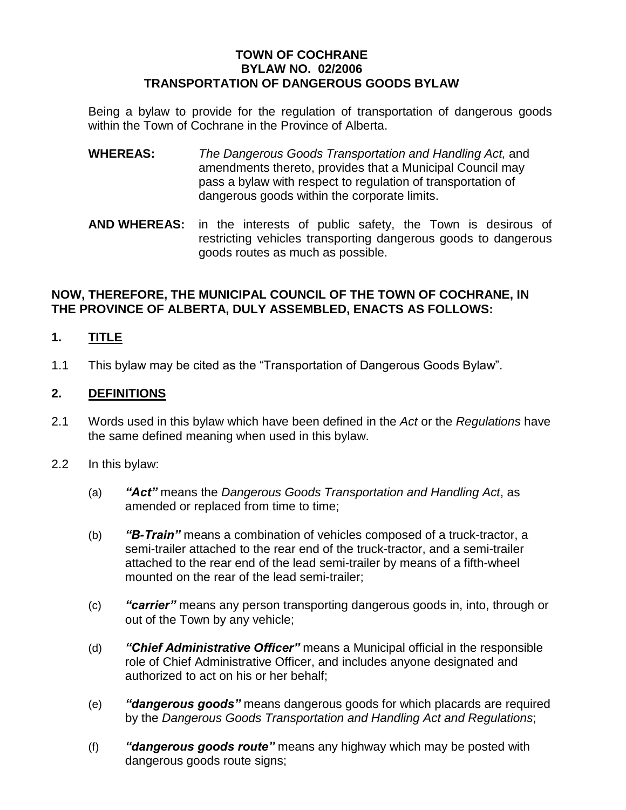### **TOWN OF COCHRANE BYLAW NO. 02/2006 TRANSPORTATION OF DANGEROUS GOODS BYLAW**

Being a bylaw to provide for the regulation of transportation of dangerous goods within the Town of Cochrane in the Province of Alberta.

- **WHEREAS:** *The Dangerous Goods Transportation and Handling Act,* and amendments thereto, provides that a Municipal Council may pass a bylaw with respect to regulation of transportation of dangerous goods within the corporate limits.
- **AND WHEREAS:** in the interests of public safety, the Town is desirous of restricting vehicles transporting dangerous goods to dangerous goods routes as much as possible.

### **NOW, THEREFORE, THE MUNICIPAL COUNCIL OF THE TOWN OF COCHRANE, IN THE PROVINCE OF ALBERTA, DULY ASSEMBLED, ENACTS AS FOLLOWS:**

## **1. TITLE**

1.1 This bylaw may be cited as the "Transportation of Dangerous Goods Bylaw".

### **2. DEFINITIONS**

- 2.1 Words used in this bylaw which have been defined in the *Act* or the *Regulations* have the same defined meaning when used in this bylaw.
- 2.2 In this bylaw:
	- (a) *"Act"*means the *Dangerous Goods Transportation and Handling Act*, as amended or replaced from time to time;
	- (b) *"B-Train"*means a combination of vehicles composed of a truck-tractor, a semi-trailer attached to the rear end of the truck-tractor, and a semi-trailer attached to the rear end of the lead semi-trailer by means of a fifth-wheel mounted on the rear of the lead semi-trailer;
	- (c) *"carrier"*means any person transporting dangerous goods in, into, through or out of the Town by any vehicle;
	- (d) *"ChiefAdministrative Officer"*means a Municipal official in the responsible role of Chief Administrative Officer, and includes anyone designated and authorized to act on his or her behalf;
	- (e) *"dangerousgoods"*means dangerous goods for which placards are required by the *Dangerous Goods Transportation and Handling Act and Regulations*;
	- (f) *"dangerousgoodsroute"*means any highway which may be posted with dangerous goods route signs;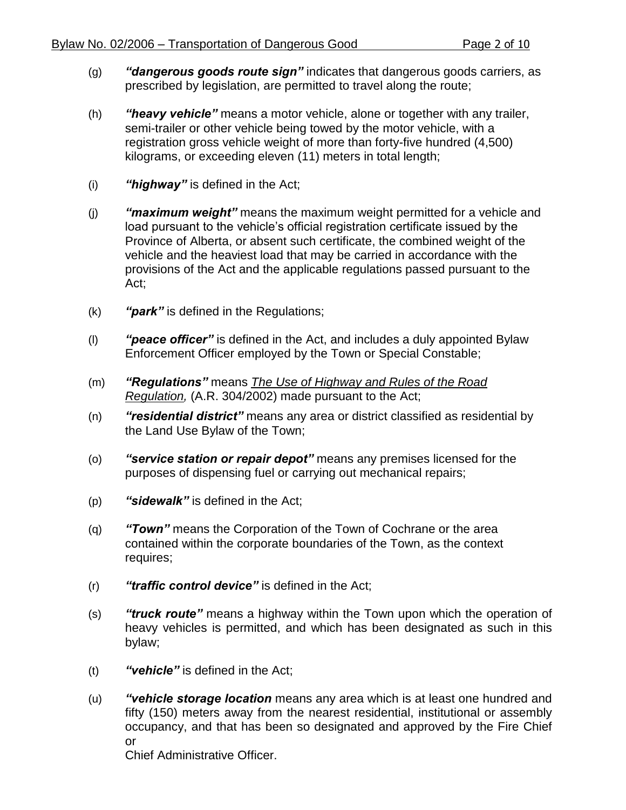- (g) **"dangerous goods route sign"** indicates that dangerous goods carriers, as prescribed by legislation, are permitted to travel along the route;
- (h) **"heavy vehicle"** means a motor vehicle, alone or together with any trailer, semi-trailer or other vehicle being towed by the motor vehicle, with a registration gross vehicle weight of more than forty-five hundred (4,500) kilograms, or exceeding eleven (11) meters in total length;
- (i) *"highway"*is defined in the Act;
- (j) **"maximum weight"** means the maximum weight permitted for a vehicle and load pursuant to the vehicle's official registration certificate issued by the Province of Alberta, or absent such certificate, the combined weight of the vehicle and the heaviest load that may be carried in accordance with the provisions of the Act and the applicable regulations passed pursuant to the Act;
- (k) *"park"*is defined in the Regulations;
- (I) **"peace officer"** is defined in the Act, and includes a duly appointed Bylaw Enforcement Officer employed by the Town or Special Constable;
- (m) *"Regulations"*means *The Use of Highway and Rules of the Road Regulation,* (A.R. 304/2002) made pursuant to the Act;
- (n) *"residential district"* means any area or district classified as residential by the Land Use Bylaw of the Town;
- (o) **"service station or repair depot"** means any premises licensed for the purposes of dispensing fuel or carrying out mechanical repairs;
- (p) *"sidewalk"*is defined in the Act;
- (q) *"Town"*means the Corporation of the Town of Cochrane or the area contained within the corporate boundaries of the Town, as the context requires;
- (r) *"traffic control device"* is defined in the Act;
- (s) **"truck route"** means a highway within the Town upon which the operation of heavy vehicles is permitted, and which has been designated as such in this bylaw;
- (t) *"vehicle"*is defined in the Act;
- (u) *"vehicle storage location* means any area which is at least one hundred and fifty (150) meters away from the nearest residential, institutional or assembly occupancy, and that has been so designated and approved by the Fire Chief or Chief Administrative Officer.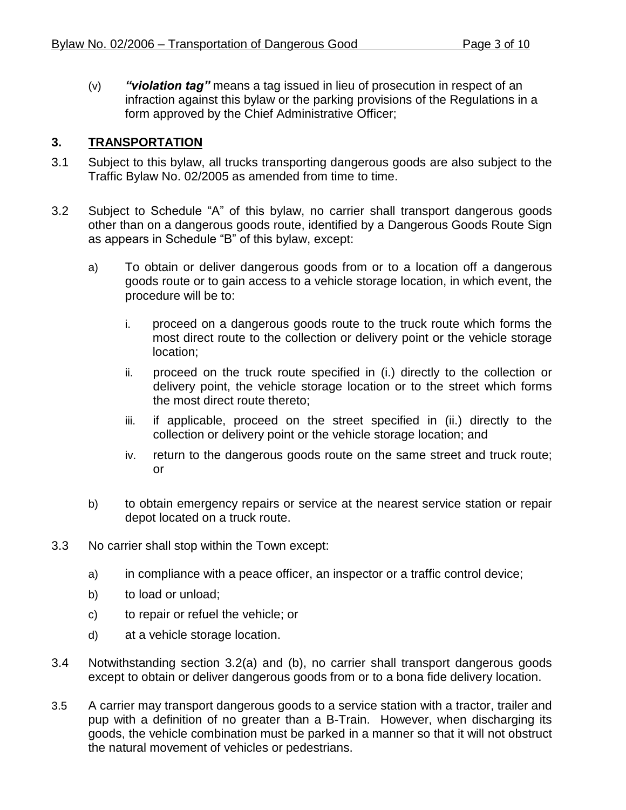(v) *"violationtag"*means a tag issued in lieu of prosecution in respect of an infraction against this bylaw or the parking provisions of the Regulations in a form approved by the Chief Administrative Officer;

## **3. TRANSPORTATION**

- 3.1 Subject to this bylaw, all trucks transporting dangerous goods are also subject to the Traffic Bylaw No. 02/2005 as amended from time to time.
- 3.2 Subject to Schedule "A" of this bylaw, no carrier shall transport dangerous goods other than on a dangerous goods route, identified by a Dangerous Goods Route Sign as appears in Schedule "B" of this bylaw, except:
	- a) To obtain or deliver dangerous goods from or to a location off a dangerous goods route or to gain access to a vehicle storage location, in which event, the procedure will be to:
		- i. proceed on a dangerous goods route to the truck route which forms the most direct route to the collection or delivery point or the vehicle storage location;
		- ii. proceed on the truck route specified in (i.) directly to the collection or delivery point, the vehicle storage location or to the street which forms the most direct route thereto;
		- iii. if applicable, proceed on the street specified in (ii.) directly to the collection or delivery point or the vehicle storage location; and
		- iv. return to the dangerous goods route on the same street and truck route; or
	- b) to obtain emergency repairs or service at the nearest service station or repair depot located on a truck route.
- 3.3 No carrier shall stop within the Town except:
	- a) in compliance with a peace officer, an inspector or a traffic control device;
	- b) to load or unload;
	- c) to repair or refuel the vehicle; or
	- d) at a vehicle storage location.
- 3.4 Notwithstanding section 3.2(a) and (b), no carrier shall transport dangerous goods except to obtain or deliver dangerous goods from or to a bona fide delivery location.
- 3.5 A carrier may transport dangerous goods to a service station with a tractor, trailer and pup with a definition of no greater than a B-Train. However, when discharging its goods, the vehicle combination must be parked in a manner so that it will not obstruct the natural movement of vehicles or pedestrians.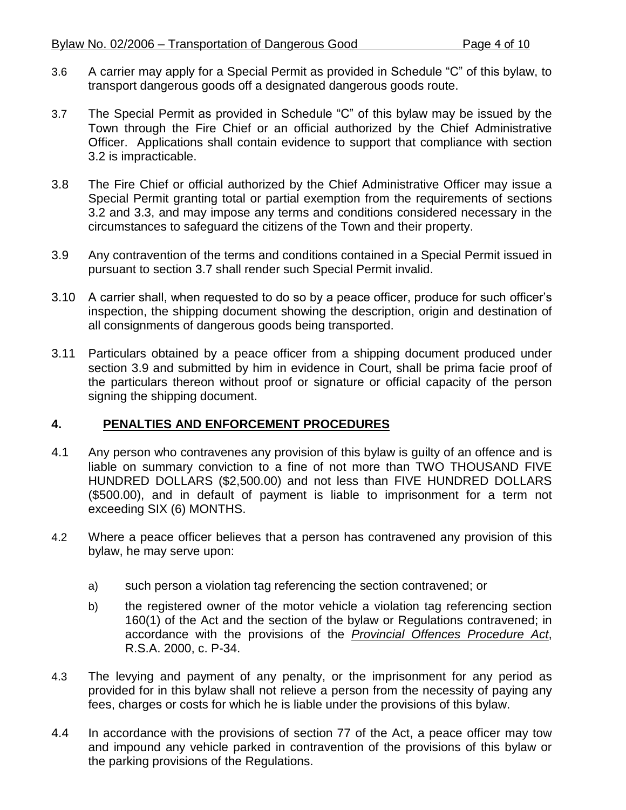- 3.6 A carrier may apply for a Special Permit as provided in Schedule "C" of this bylaw, to transport dangerous goods off a designated dangerous goods route.
- 3.7 The Special Permit as provided in Schedule "C" of this bylaw may be issued by the Town through the Fire Chief or an official authorized by the Chief Administrative Officer. Applications shall contain evidence to support that compliance with section 3.2 is impracticable.
- 3.8 The Fire Chief or official authorized by the Chief Administrative Officer may issue a Special Permit granting total or partial exemption from the requirements of sections 3.2 and 3.3, and may impose any terms and conditions considered necessary in the circumstances to safeguard the citizens of the Town and their property.
- 3.9 Any contravention of the terms and conditions contained in a Special Permit issued in pursuant to section 3.7 shall render such Special Permit invalid.
- 3.10 A carrier shall, when requested to do so by a peace officer, produce for such officer's inspection, the shipping document showing the description, origin and destination of all consignments of dangerous goods being transported.
- 3.11 Particulars obtained by a peace officer from a shipping document produced under section 3.9 and submitted by him in evidence in Court, shall be prima facie proof of the particulars thereon without proof or signature or official capacity of the person signing the shipping document.

## **4. PENALTIES AND ENFORCEMENT PROCEDURES**

- 4.1 Any person who contravenes any provision of this bylaw is guilty of an offence and is liable on summary conviction to a fine of not more than TWO THOUSAND FIVE HUNDRED DOLLARS (\$2,500.00) and not less than FIVE HUNDRED DOLLARS (\$500.00), and in default of payment is liable to imprisonment for a term not exceeding SIX (6) MONTHS.
- 4.2 Where a peace officer believes that a person has contravened any provision of this bylaw, he may serve upon:
	- a) such person a violation tag referencing the section contravened; or
	- b) the registered owner of the motor vehicle a violation tag referencing section 160(1) of the Act and the section of the bylaw or Regulations contravened; in accordance with the provisions of the *Provincial Offences Procedure Act*, R.S.A. 2000, c. P-34.
- 4.3 The levying and payment of any penalty, or the imprisonment for any period as provided for in this bylaw shall not relieve a person from the necessity of paying any fees, charges or costs for which he is liable under the provisions of this bylaw.
- 4.4 In accordance with the provisions of section 77 of the Act, a peace officer may tow and impound any vehicle parked in contravention of the provisions of this bylaw or the parking provisions of the Regulations.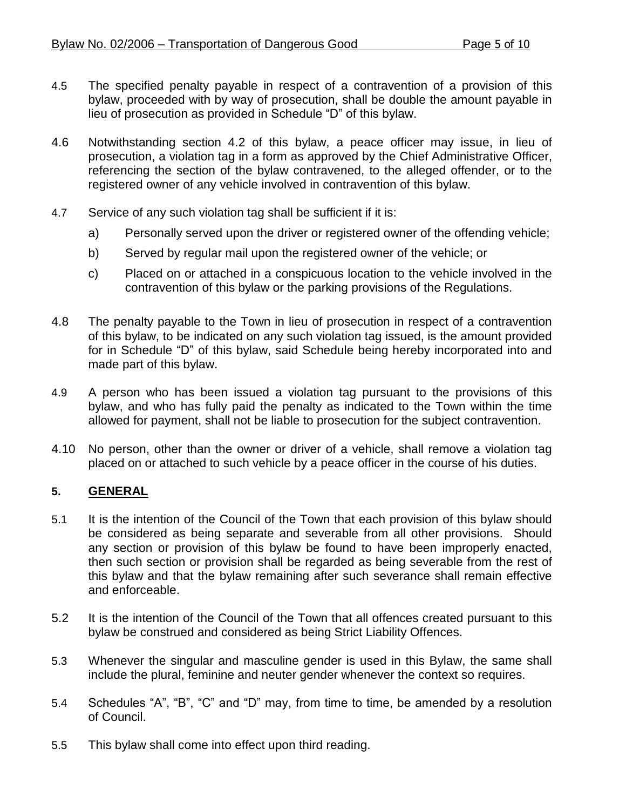- 4.5 The specified penalty payable in respect of a contravention of a provision of this bylaw, proceeded with by way of prosecution, shall be double the amount payable in lieu of prosecution as provided in Schedule "D" of this bylaw.
- 4.6 Notwithstanding section 4.2 of this bylaw, a peace officer may issue, in lieu of prosecution, a violation tag in a form as approved by the Chief Administrative Officer, referencing the section of the bylaw contravened, to the alleged offender, or to the registered owner of any vehicle involved in contravention of this bylaw.
- 4.7 Service of any such violation tag shall be sufficient if it is:
	- a) Personally served upon the driver or registered owner of the offending vehicle;
	- b) Served by regular mail upon the registered owner of the vehicle; or
	- c) Placed on or attached in a conspicuous location to the vehicle involved in the contravention of this bylaw or the parking provisions of the Regulations.
- 4.8 The penalty payable to the Town in lieu of prosecution in respect of a contravention of this bylaw, to be indicated on any such violation tag issued, is the amount provided for in Schedule "D" of this bylaw, said Schedule being hereby incorporated into and made part of this bylaw.
- 4.9 A person who has been issued a violation tag pursuant to the provisions of this bylaw, and who has fully paid the penalty as indicated to the Town within the time allowed for payment, shall not be liable to prosecution for the subject contravention.
- 4.10 No person, other than the owner or driver of a vehicle, shall remove a violation tag placed on or attached to such vehicle by a peace officer in the course of his duties.

# **5. GENERAL**

- 5.1 It is the intention of the Council of the Town that each provision of this bylaw should be considered as being separate and severable from all other provisions. Should any section or provision of this bylaw be found to have been improperly enacted, then such section or provision shall be regarded as being severable from the rest of this bylaw and that the bylaw remaining after such severance shall remain effective and enforceable.
- 5.2 It is the intention of the Council of the Town that all offences created pursuant to this bylaw be construed and considered as being Strict Liability Offences.
- 5.3 Whenever the singular and masculine gender is used in this Bylaw, the same shall include the plural, feminine and neuter gender whenever the context so requires.
- 5.4 Schedules "A", "B", "C" and "D" may, from time to time, be amended by a resolution of Council.
- 5.5 This bylaw shall come into effect upon third reading.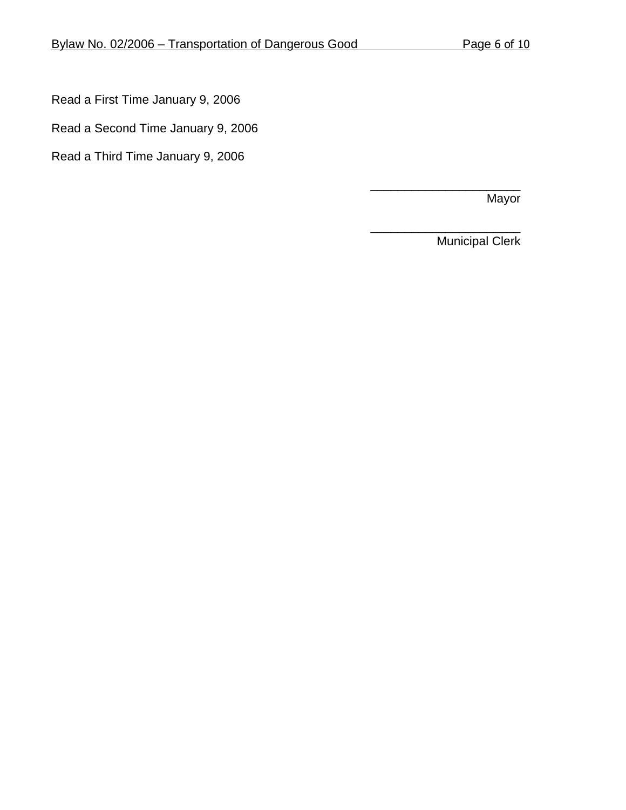Read a First Time January 9, 2006

Read a Second Time January 9, 2006

Read a Third Time January 9, 2006

Mayor

\_\_\_\_\_\_\_\_\_\_\_\_\_\_\_\_\_\_\_\_\_\_ Municipal Clerk

\_\_\_\_\_\_\_\_\_\_\_\_\_\_\_\_\_\_\_\_\_\_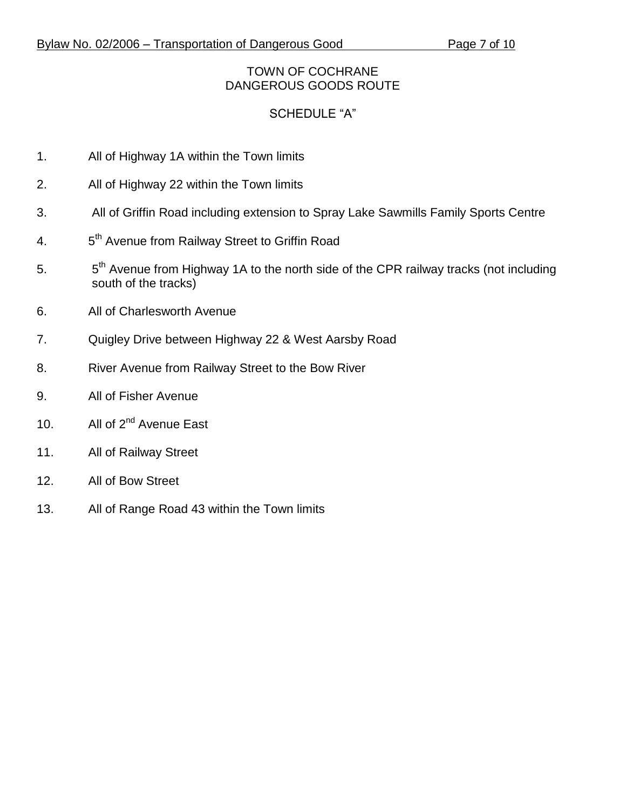## TOWN OF COCHRANE DANGEROUS GOODS ROUTE

# SCHEDULE "A"

- 1. All of Highway 1A within the Town limits
- 2. All of Highway 22 within the Town limits
- 3. All of Griffin Road including extension to Spray Lake Sawmills Family Sports Centre
- $4.$ 5<sup>th</sup> Avenue from Railway Street to Griffin Road
- 5. 5 5<sup>th</sup> Avenue from Highway 1A to the north side of the CPR railway tracks (not including south of the tracks)
- 6. All of Charlesworth Avenue
- 7. Quigley Drive between Highway 22 & West Aarsby Road
- 8. River Avenue from Railway Street to the Bow River
- 9. All of Fisher Avenue
- 10. All of 2<sup>nd</sup> Avenue East
- 11. All of Railway Street
- 12. All of Bow Street
- 13. All of Range Road 43 within the Town limits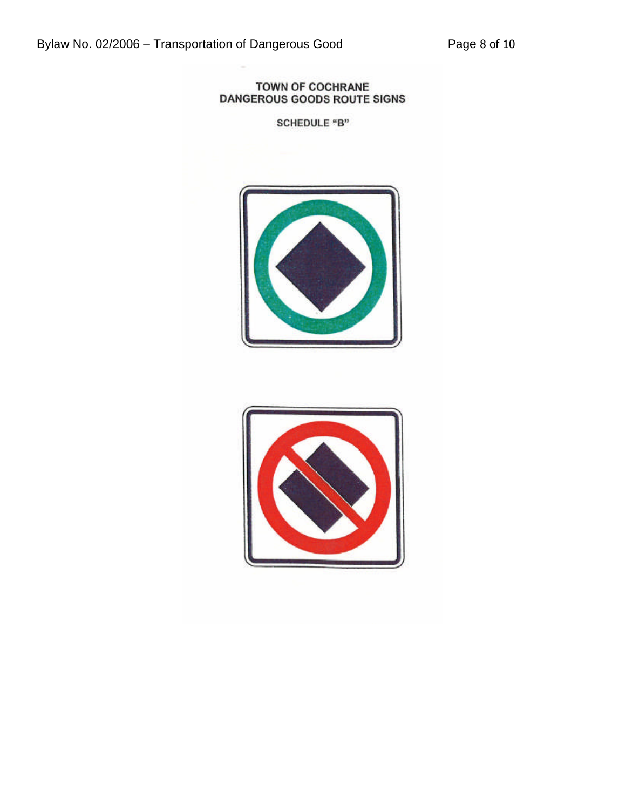#### **TOWN OF COCHRANE** DANGEROUS GOODS ROUTE SIGNS

**SCHEDULE "B"** 



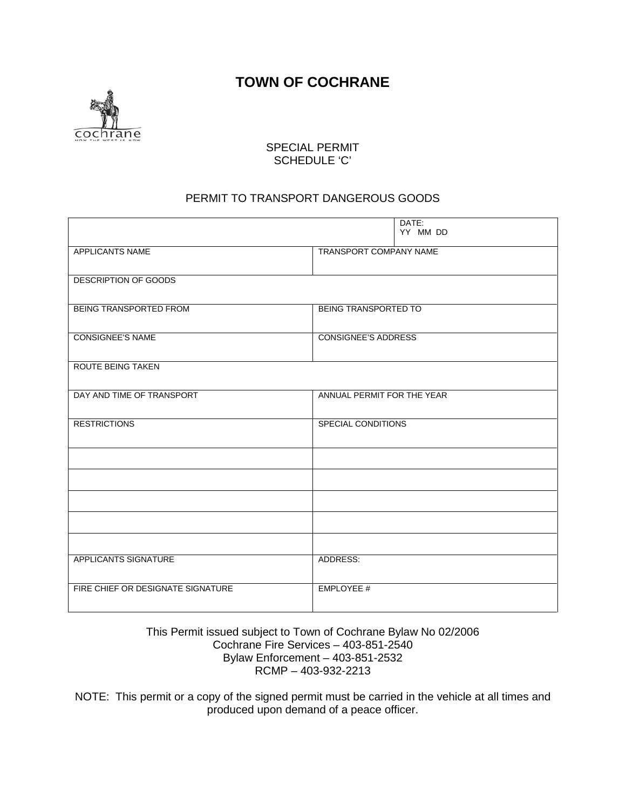**TOWN OF COCHRANE**



#### SPECIAL PERMIT SCHEDULE 'C'

### PERMIT TO TRANSPORT DANGEROUS GOODS

|                                   | DATE:<br>YY MM DD           |  |  |
|-----------------------------------|-----------------------------|--|--|
| APPLICANTS NAME                   | TRANSPORT COMPANY NAME      |  |  |
|                                   |                             |  |  |
| <b>DESCRIPTION OF GOODS</b>       |                             |  |  |
|                                   |                             |  |  |
| BEING TRANSPORTED FROM            | <b>BEING TRANSPORTED TO</b> |  |  |
| <b>CONSIGNEE'S NAME</b>           | <b>CONSIGNEE'S ADDRESS</b>  |  |  |
| <b>ROUTE BEING TAKEN</b>          |                             |  |  |
|                                   |                             |  |  |
| DAY AND TIME OF TRANSPORT         | ANNUAL PERMIT FOR THE YEAR  |  |  |
| <b>RESTRICTIONS</b>               | <b>SPECIAL CONDITIONS</b>   |  |  |
|                                   |                             |  |  |
|                                   |                             |  |  |
|                                   |                             |  |  |
|                                   |                             |  |  |
|                                   |                             |  |  |
|                                   |                             |  |  |
| APPLICANTS SIGNATURE              | ADDRESS:                    |  |  |
| FIRE CHIEF OR DESIGNATE SIGNATURE | EMPLOYEE #                  |  |  |

#### This Permit issued subject to Town of Cochrane Bylaw No 02/2006 Cochrane Fire Services – 403-851-2540 Bylaw Enforcement – 403-851-2532 RCMP – 403-932-2213

NOTE: This permit or a copy of the signed permit must be carried in the vehicle at all times and produced upon demand of a peace officer.